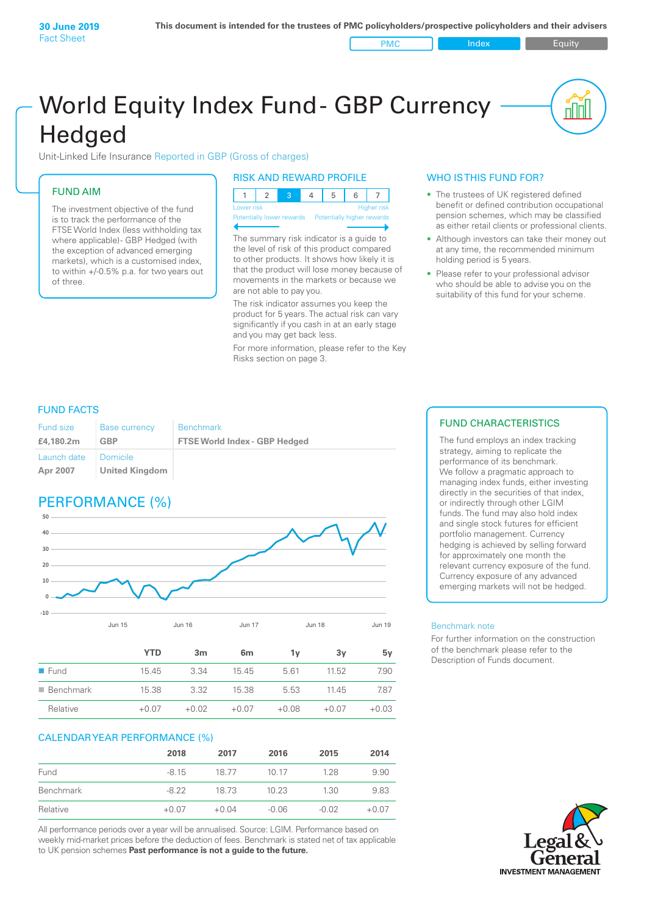PMC Index PMC Equity

# World Equity Index Fund- GBP Currency **Hedged**

Unit-Linked Life Insurance Reported in GBP (Gross of charges)

### FUND AIM

The investment objective of the fund is to track the performance of the FTSE World Index (less withholding tax where applicable) - GBP Hedged (with the exception of advanced emerging markets), which is a customised index, to within +/‑0.5% p.a. for two years out of three.

#### RISK AND REWARD PROFILE

| Lower risk |  |  | <b>Higher risk</b> |
|------------|--|--|--------------------|

ntially lower rewards

The summary risk indicator is a guide to the level of risk of this product compared to other products. It shows how likely it is that the product will lose money because of movements in the markets or because we are not able to pay you.

The risk indicator assumes you keep the product for 5 years. The actual risk can vary significantly if you cash in at an early stage and you may get back less.

For more information, please refer to the Key Risks section on page 3.

#### WHO IS THIS FUND FOR?

- The trustees of UK registered defined benefit or defined contribution occupational pension schemes, which may be classified as either retail clients or professional clients.
- Although investors can take their money out at any time, the recommended minimum holding period is 5 years.
- Please refer to your professional advisor who should be able to advise you on the suitability of this fund for your scheme.

#### FUND FACTS

| <b>Fund size</b>        | <b>Base currency</b>              | <b>Benchmark</b>                     |
|-------------------------|-----------------------------------|--------------------------------------|
| £4,180.2m               | GBP                               | <b>FTSE World Index - GBP Hedged</b> |
| Launch date<br>Apr 2007 | Domicile<br><b>United Kingdom</b> |                                      |

# PERFORMANCE (%)



|                          | <b>YTD</b> | 3 <sub>m</sub> | 6 <sub>m</sub> | 1v      | 3v      | 5۷      |
|--------------------------|------------|----------------|----------------|---------|---------|---------|
| $\blacksquare$ Fund      | 15.45      | 3.34           | 15.45          | 5.61    | 11.52   | 7.90    |
| $\blacksquare$ Benchmark | 15.38      | 3.32           | 15.38          | 5.53    | 11.45   | 7.87    |
| Relative                 | $+0.07$    | $+0.02$        | $+0.07$        | $+0.08$ | $+0.07$ | $+0.03$ |

#### CALENDAR YEAR PERFORMANCE (%)

|           | 2018    | 2017    | 2016    | 2015    | 2014    |
|-----------|---------|---------|---------|---------|---------|
| Fund      | $-8.15$ | 18.77   | 10 17   | 1.28    | 9.90    |
| Benchmark | $-8.22$ | 18.73   | 10.23   | 1.30    | 9.83    |
| Relative  | $+0.07$ | $+0.04$ | $-0.06$ | $-0.02$ | $+0.07$ |

All performance periods over a year will be annualised. Source: LGIM. Performance based on weekly mid-market prices before the deduction of fees. Benchmark is stated net of tax applicable to UK pension schemes **Past performance is not a guide to the future.**

#### FUND CHARACTERISTICS

The fund employs an index tracking strategy, aiming to replicate the performance of its benchmark. We follow a pragmatic approach to managing index funds, either investing directly in the securities of that index, or indirectly through other LGIM funds. The fund may also hold index and single stock futures for efficient portfolio management. Currency hedging is achieved by selling forward for approximately one month the relevant currency exposure of the fund. Currency exposure of any advanced emerging markets will not be hedged.

#### Benchmark note

For further information on the construction of the benchmark please refer to the Description of Funds document.

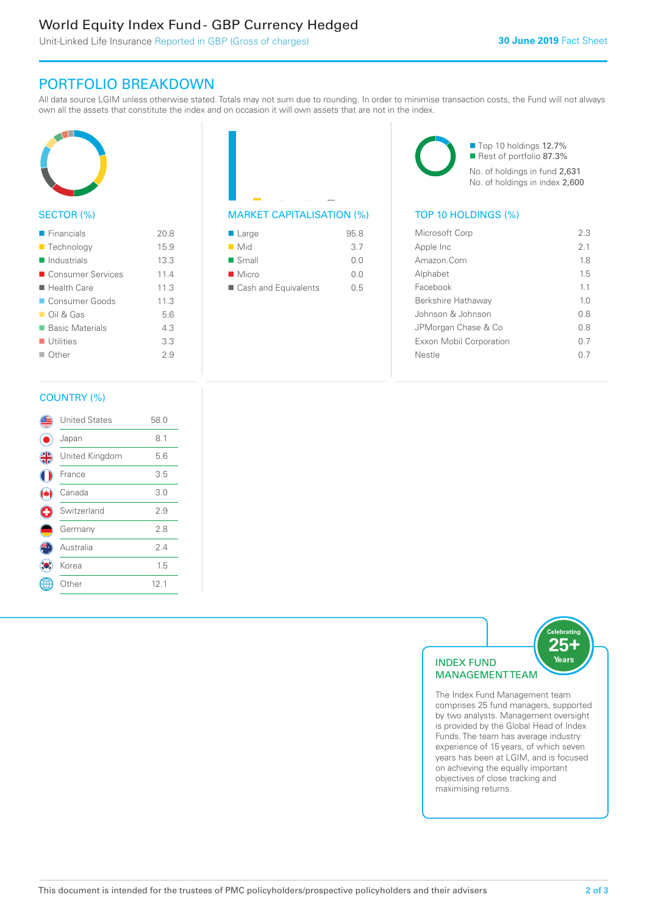# World Equity Index Fund - GBP Currency Hedged

Unit-Linked Life Insurance Reported in GBP (Gross of charges)

## PORTFOLIO BREAKDOWN

All data source LGIM unless otherwise stated. Totals may not sum due to rounding. In order to minimise transaction costs, the Fund will not always own all the assets that constitute the index and on occasion it will own assets that are not in the index.



#### SECTOR (%)

| $\blacksquare$ Financials  | 20.8 |
|----------------------------|------|
| ■ Technology               | 15.9 |
| $\blacksquare$ Industrials | 13.3 |
| ■ Consumer Services        | 11.4 |
| $\blacksquare$ Health Care | 11.3 |
| Consumer Goods             | 11.3 |
| $\Box$ Oil & Gas           | 5.6  |
| ■ Basic Materials          | 4.3  |
| $\blacksquare$ Utilities   | 3.3  |
| ■ Other                    | 29   |
|                            |      |



| $\blacksquare$ Large | 95.8 |
|----------------------|------|
| $\blacksquare$ Mid   | 3.7  |
| $\blacksquare$ Small | 0.0  |
| $\blacksquare$ Micro | 0.0  |
| Cash and Equivalents | 0.5  |

■ Top 10 holdings 12.7% Rest of portfolio 87.3% No. of holdings in fund 2,631 No. of holdings in index 2,600

| Microsoft Corp                 | 23             |
|--------------------------------|----------------|
| Apple Inc                      | 2.1            |
| Amazon Com                     | 1.8            |
| Alphabet                       | 15             |
| Facebook                       | 11             |
| Berkshire Hathaway             | 1 <sub>0</sub> |
| Johnson & Johnson              | 0 S            |
| JPMorgan Chase & Co            | 08             |
| <b>Exxon Mobil Corporation</b> | 0 7            |
| Nestle                         |                |
|                                |                |

#### COUNTRY (%)

|   | <b>United States</b> | 58.0 |
|---|----------------------|------|
|   | Japan                | 8.1  |
| 4 | United Kingdom       | 5.6  |
|   | France               | 3.5  |
|   | Canada               | 3.0  |
| Œ | Switzerland          | 2.9  |
|   | Germany              | 2.8  |
|   | Australia            | 2.4  |
|   | Korea                | 1.5  |
|   | : Other              | 12.1 |
|   |                      |      |



The Index Fund Management team comprises 25 fund managers, supported by two analysts. Management oversight is provided by the Global Head of Index Funds. The team has average industry experience of 15 years, of which seven years has been at LGIM, and is focused on achieving the equally important objectives of close tracking and maximising returns.